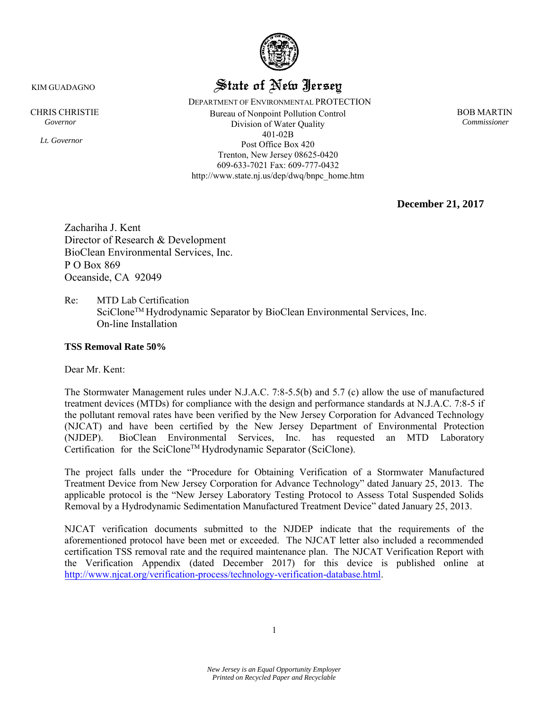

# State of New Jersey

DEPARTMENT OF ENVIRONMENTAL PROTECTION CHRIS CHRISTIE BOB MARTIN *Governor Commissioner*  Division of Water Quality 401-02B Post Office Box 420 Trenton, New Jersey 08625-0420 609-633-7021 Fax: 609-777-0432 http://www.state.nj.us/dep/dwq/bnpc\_home.htm

**December 21, 2017**

Zachariha J. Kent Director of Research & Development BioClean Environmental Services, Inc. P O Box 869 Oceanside, CA 92049

Re: MTD Lab Certification SciClone<sup>™</sup> Hydrodynamic Separator by BioClean Environmental Services, Inc. On-line Installation

#### **TSS Removal Rate 50%**

Dear Mr. Kent:

The Stormwater Management rules under N.J.A.C. 7:8-5.5(b) and 5.7 (c) allow the use of manufactured treatment devices (MTDs) for compliance with the design and performance standards at N.J.A.C. 7:8-5 if the pollutant removal rates have been verified by the New Jersey Corporation for Advanced Technology (NJCAT) and have been certified by the New Jersey Department of Environmental Protection (NJDEP). BioClean Environmental Services, Inc. has requested an MTD Laboratory Certification for the SciClone™ Hydrodynamic Separator (SciClone).

The project falls under the "Procedure for Obtaining Verification of a Stormwater Manufactured Treatment Device from New Jersey Corporation for Advance Technology" dated January 25, 2013. The applicable protocol is the "New Jersey Laboratory Testing Protocol to Assess Total Suspended Solids Removal by a Hydrodynamic Sedimentation Manufactured Treatment Device" dated January 25, 2013.

NJCAT verification documents submitted to the NJDEP indicate that the requirements of the aforementioned protocol have been met or exceeded. The NJCAT letter also included a recommended certification TSS removal rate and the required maintenance plan. The NJCAT Verification Report with the Verification Appendix (dated December 2017) for this device is published online at [http://www.njcat.org/verification-process/technology-verification-database.html.](http://www.njcat.org/verification-process/technology-verification-database.html)

KIM GUADAGNO

*Lt. Governor*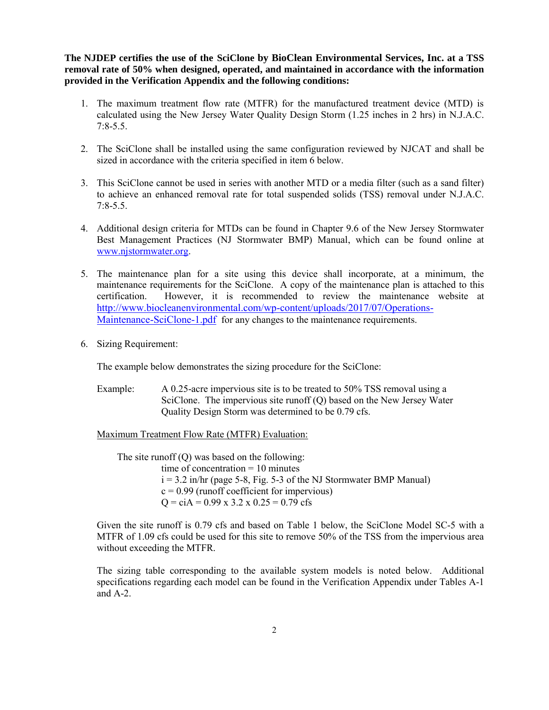**The NJDEP certifies the use of the SciClone by BioClean Environmental Services, Inc. at a TSS removal rate of 50% when designed, operated, and maintained in accordance with the information provided in the Verification Appendix and the following conditions:** 

- 1. The maximum treatment flow rate (MTFR) for the manufactured treatment device (MTD) is calculated using the New Jersey Water Quality Design Storm (1.25 inches in 2 hrs) in N.J.A.C. 7:8-5.5.
- 2. The SciClone shall be installed using the same configuration reviewed by NJCAT and shall be sized in accordance with the criteria specified in item 6 below.
- 3. This SciClone cannot be used in series with another MTD or a media filter (such as a sand filter) to achieve an enhanced removal rate for total suspended solids (TSS) removal under N.J.A.C. 7:8-5.5.
- 4. Additional design criteria for MTDs can be found in Chapter 9.6 of the New Jersey Stormwater Best Management Practices (NJ Stormwater BMP) Manual, which can be found online at [www.njstormwater.org.](http://www.njstormwater.org/)
- 5. The maintenance plan for a site using this device shall incorporate, at a minimum, the maintenance requirements for the SciClone. A copy of the maintenance plan is attached to this certification. However, it is recommended to review the maintenance website at [http://www.biocleanenvironmental.com/wp-content/uploads/2017/07/Operations-](http://www.biocleanenvironmental.com/wp-content/uploads/2017/07/Operations-Maintenance-SciClone-1.pdf)[Maintenance-SciClone-1.pdf](http://www.biocleanenvironmental.com/wp-content/uploads/2017/07/Operations-Maintenance-SciClone-1.pdf) for any changes to the maintenance requirements.
- 6. Sizing Requirement:

The example below demonstrates the sizing procedure for the SciClone:

Example: A 0.25-acre impervious site is to be treated to 50% TSS removal using a SciClone. The impervious site runoff (Q) based on the New Jersey Water Quality Design Storm was determined to be 0.79 cfs.

Maximum Treatment Flow Rate (MTFR) Evaluation:

The site runoff  $(Q)$  was based on the following: time of concentration  $= 10$  minutes  $i = 3.2$  in/hr (page 5-8, Fig. 5-3 of the NJ Stormwater BMP Manual)  $c = 0.99$  (runoff coefficient for impervious)  $Q = cIA = 0.99 \times 3.2 \times 0.25 = 0.79 \text{ cfs}$ 

Given the site runoff is 0.79 cfs and based on Table 1 below, the SciClone Model SC-5 with a MTFR of 1.09 cfs could be used for this site to remove 50% of the TSS from the impervious area without exceeding the MTFR.

The sizing table corresponding to the available system models is noted below. Additional specifications regarding each model can be found in the Verification Appendix under Tables A-1 and A-2.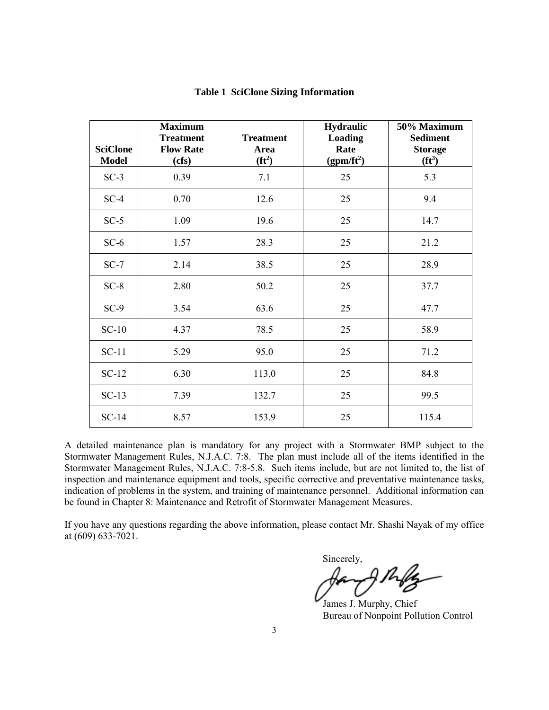| <b>SciClone</b><br><b>Model</b> | <b>Maximum</b><br><b>Treatment</b><br><b>Flow Rate</b><br>(cfs) | <b>Treatment</b><br>Area<br>$(f t^2)$ | <b>Hydraulic</b><br><b>Loading</b><br>Rate<br>$(gpm/ft^2)$ | 50% Maximum<br><b>Sediment</b><br><b>Storage</b><br>$(f t^3)$ |
|---------------------------------|-----------------------------------------------------------------|---------------------------------------|------------------------------------------------------------|---------------------------------------------------------------|
| $SC-3$                          | 0.39                                                            | 7.1                                   | 25                                                         | 5.3                                                           |
| $SC-4$                          | 0.70                                                            | 12.6                                  | 25                                                         | 9.4                                                           |
| $SC-5$                          | 1.09                                                            | 19.6                                  | 25                                                         | 14.7                                                          |
| $SC-6$                          | 1.57                                                            | 28.3                                  | 25                                                         | 21.2                                                          |
| $SC-7$                          | 2.14                                                            | 38.5                                  | 25                                                         | 28.9                                                          |
| $SC-8$                          | 2.80                                                            | 50.2                                  | 25                                                         | 37.7                                                          |
| $SC-9$                          | 3.54                                                            | 63.6                                  | 25                                                         | 47.7                                                          |
| $SC-10$                         | 4.37                                                            | 78.5                                  | 25                                                         | 58.9                                                          |
| $SC-11$                         | 5.29                                                            | 95.0                                  | 25                                                         | 71.2                                                          |
| $SC-12$                         | 6.30                                                            | 113.0                                 | 25                                                         | 84.8                                                          |
| $SC-13$                         | 7.39                                                            | 132.7                                 | 25                                                         | 99.5                                                          |
| $SC-14$                         | 8.57                                                            | 153.9                                 | 25                                                         | 115.4                                                         |

#### **Table 1 SciClone Sizing Information**

A detailed maintenance plan is mandatory for any project with a Stormwater BMP subject to the Stormwater Management Rules, N.J.A.C. 7:8. The plan must include all of the items identified in the Stormwater Management Rules, N.J.A.C. 7:8-5.8. Such items include, but are not limited to, the list of inspection and maintenance equipment and tools, specific corrective and preventative maintenance tasks, indication of problems in the system, and training of maintenance personnel. Additional information can be found in Chapter 8: Maintenance and Retrofit of Stormwater Management Measures.

If you have any questions regarding the above information, please contact Mr. Shashi Nayak of my office at (609) 633-7021.

Sincerely,

James J. Murphy, Chief Bureau of Nonpoint Pollution Control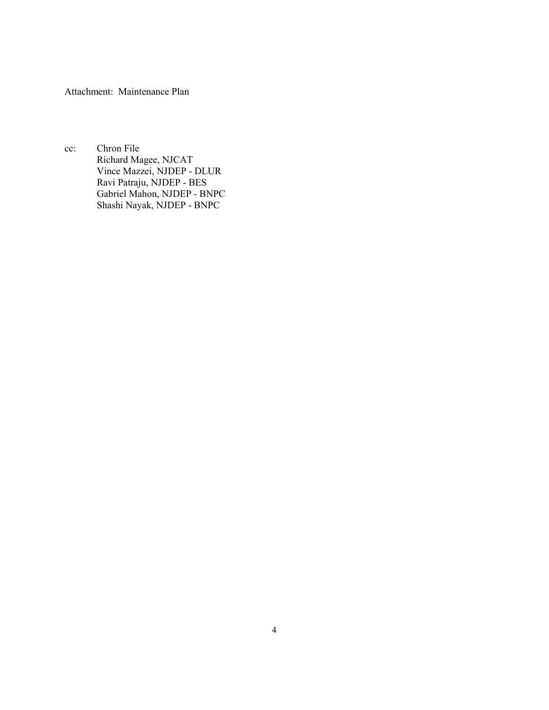Attachment: Maintenance Plan

cc: Chron File Richard Magee, NJCAT Vince Mazzei, NJDEP - DLUR Ravi Patraju, NJDEP - BES Gabriel Mahon, NJDEP - BNPC Shashi Nayak, NJDEP - BNPC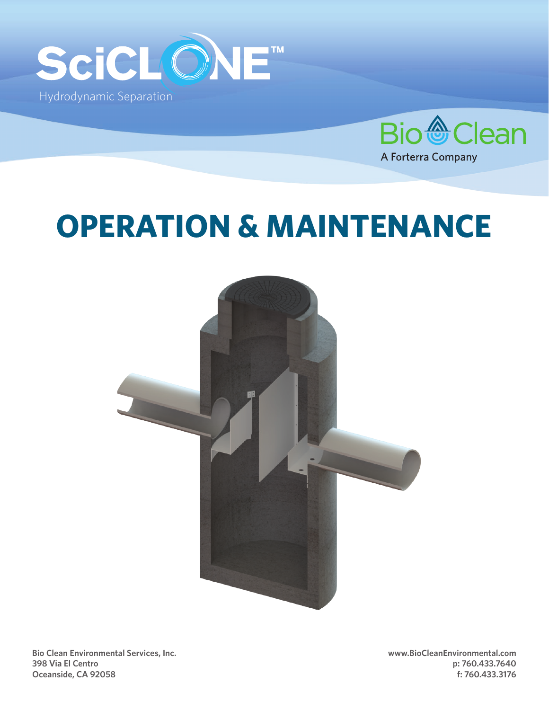



# **OPERATION & MAINTENANCE**



**Bio Clean Environmental Services, Inc. 398 Via El Centro Oceanside, CA 92058**

**www.BioCleanEnvironmental.com p: 760.433.7640 f: 760.433.3176**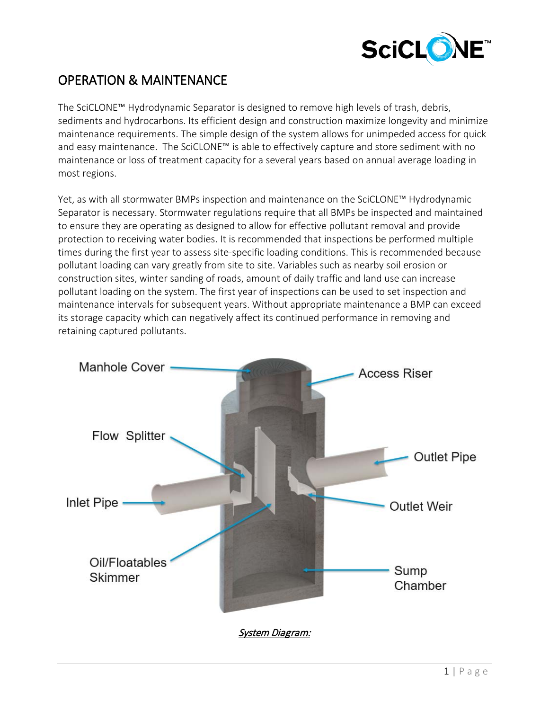

# OPERATION & MAINTENANCE

The SciCLONE™ Hydrodynamic Separator is designed to remove high levels of trash, debris, sediments and hydrocarbons. Its efficient design and construction maximize longevity and minimize maintenance requirements. The simple design of the system allows for unimpeded access for quick and easy maintenance. The SciCLONE™ is able to effectively capture and store sediment with no maintenance or loss of treatment capacity for a several years based on annual average loading in most regions.

Yet, as with all stormwater BMPs inspection and maintenance on the SciCLONE™ Hydrodynamic Separator is necessary. Stormwater regulations require that all BMPs be inspected and maintained to ensure they are operating as designed to allow for effective pollutant removal and provide protection to receiving water bodies. It is recommended that inspections be performed multiple times during the first year to assess site-specific loading conditions. This is recommended because pollutant loading can vary greatly from site to site. Variables such as nearby soil erosion or construction sites, winter sanding of roads, amount of daily traffic and land use can increase pollutant loading on the system. The first year of inspections can be used to set inspection and maintenance intervals for subsequent years. Without appropriate maintenance a BMP can exceed its storage capacity which can negatively affect its continued performance in removing and retaining captured pollutants.

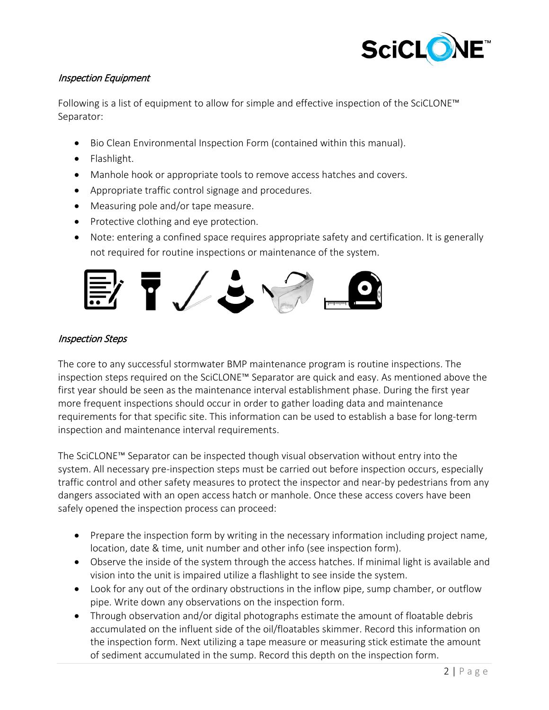

## Inspection Equipment

Following is a list of equipment to allow for simple and effective inspection of the SciCLONE™ Separator:

- Bio Clean Environmental Inspection Form (contained within this manual).
- Flashlight.
- Manhole hook or appropriate tools to remove access hatches and covers.
- Appropriate traffic control signage and procedures.
- Measuring pole and/or tape measure.
- Protective clothing and eye protection.
- Note: entering a confined space requires appropriate safety and certification. It is generally not required for routine inspections or maintenance of the system.



## Inspection Steps

The core to any successful stormwater BMP maintenance program is routine inspections. The inspection steps required on the SciCLONE™ Separator are quick and easy. As mentioned above the first year should be seen as the maintenance interval establishment phase. During the first year more frequent inspections should occur in order to gather loading data and maintenance requirements for that specific site. This information can be used to establish a base for long-term inspection and maintenance interval requirements.

The SciCLONE™ Separator can be inspected though visual observation without entry into the system. All necessary pre-inspection steps must be carried out before inspection occurs, especially traffic control and other safety measures to protect the inspector and near-by pedestrians from any dangers associated with an open access hatch or manhole. Once these access covers have been safely opened the inspection process can proceed:

- Prepare the inspection form by writing in the necessary information including project name, location, date & time, unit number and other info (see inspection form).
- Observe the inside of the system through the access hatches. If minimal light is available and vision into the unit is impaired utilize a flashlight to see inside the system.
- Look for any out of the ordinary obstructions in the inflow pipe, sump chamber, or outflow pipe. Write down any observations on the inspection form.
- Through observation and/or digital photographs estimate the amount of floatable debris accumulated on the influent side of the oil/floatables skimmer. Record this information on the inspection form. Next utilizing a tape measure or measuring stick estimate the amount of sediment accumulated in the sump. Record this depth on the inspection form.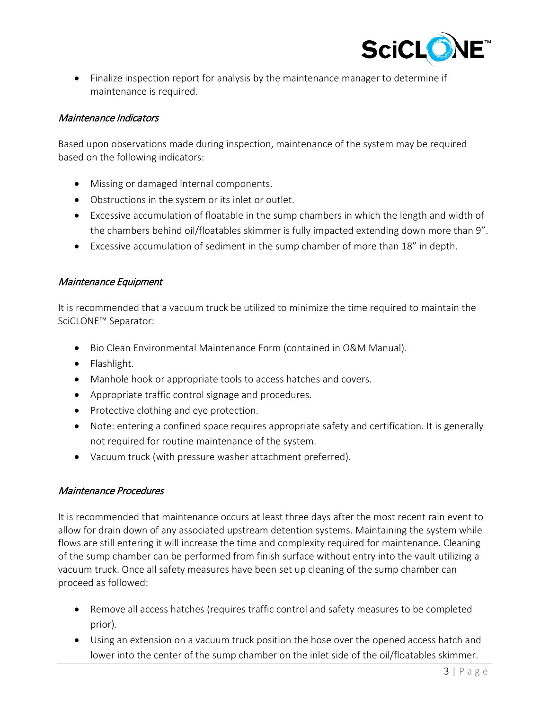

• Finalize inspection report for analysis by the maintenance manager to determine if maintenance is required.

#### Maintenance Indicators

Based upon observations made during inspection, maintenance of the system may be required based on the following indicators:

- Missing or damaged internal components.
- Obstructions in the system or its inlet or outlet.
- Excessive accumulation of floatable in the sump chambers in which the length and width of the chambers behind oil/floatables skimmer is fully impacted extending down more than 9".
- Excessive accumulation of sediment in the sump chamber of more than 18" in depth.

## Maintenance Equipment

It is recommended that a vacuum truck be utilized to minimize the time required to maintain the SciCLONE™ Separator:

- Bio Clean Environmental Maintenance Form (contained in O&M Manual).
- Flashlight.
- Manhole hook or appropriate tools to access hatches and covers.
- Appropriate traffic control signage and procedures.
- Protective clothing and eye protection.
- Note: entering a confined space requires appropriate safety and certification. It is generally not required for routine maintenance of the system.
- Vacuum truck (with pressure washer attachment preferred).

## Maintenance Procedures

It is recommended that maintenance occurs at least three days after the most recent rain event to allow for drain down of any associated upstream detention systems. Maintaining the system while flows are still entering it will increase the time and complexity required for maintenance. Cleaning of the sump chamber can be performed from finish surface without entry into the vault utilizing a vacuum truck. Once all safety measures have been set up cleaning of the sump chamber can proceed as followed:

- Remove all access hatches (requires traffic control and safety measures to be completed prior).
- Using an extension on a vacuum truck position the hose over the opened access hatch and lower into the center of the sump chamber on the inlet side of the oil/floatables skimmer.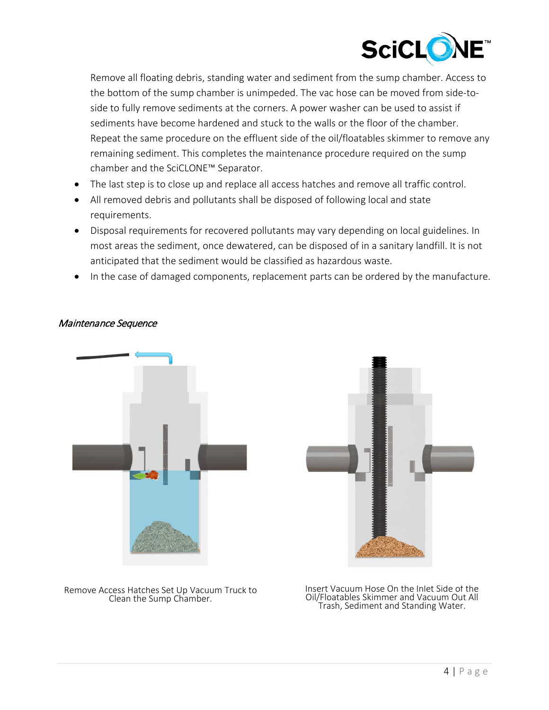

Remove all floating debris, standing water and sediment from the sump chamber. Access to the bottom of the sump chamber is unimpeded. The vac hose can be moved from side-toside to fully remove sediments at the corners. A power washer can be used to assist if sediments have become hardened and stuck to the walls or the floor of the chamber. Repeat the same procedure on the effluent side of the oil/floatables skimmer to remove any remaining sediment. This completes the maintenance procedure required on the sump chamber and the SciCLONE™ Separator.

- The last step is to close up and replace all access hatches and remove all traffic control.
- All removed debris and pollutants shall be disposed of following local and state requirements.
- Disposal requirements for recovered pollutants may vary depending on local guidelines. In most areas the sediment, once dewatered, can be disposed of in a sanitary landfill. It is not anticipated that the sediment would be classified as hazardous waste.
- In the case of damaged components, replacement parts can be ordered by the manufacture.



#### Maintenance Sequence



Remove Access Hatches Set Up Vacuum Truck to

cess Hatches Set Up Vacuum Truck to Filmsert Vacuum Hose On the Inlet Side of the<br>Clean the Sump Chamber. The Clean of Coll Clean of Vacuum Out All Trash, Sediment and Standing Water.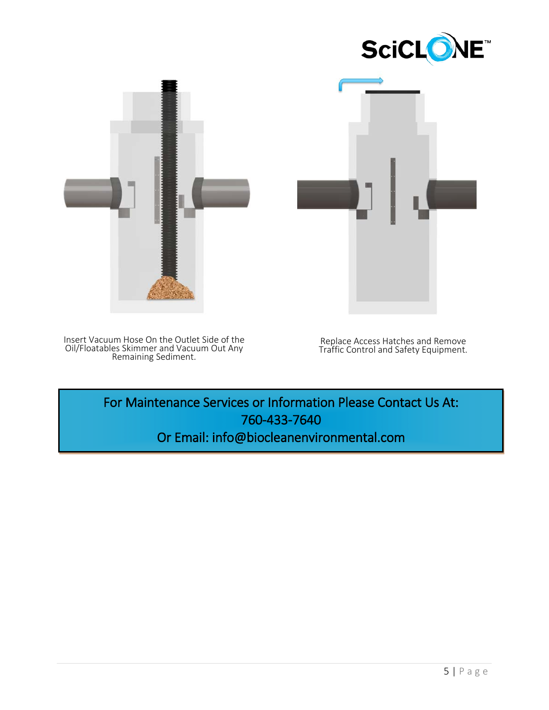





Insert Vacuum Hose On the Outlet Side of the Oil/Floatables Skimmer and Vacuum Out Any Remaining Sediment.

Replace Access Hatches and Remove Traffic Control and Safety Equipment.

For Maintenance Services or Information Please Contact Us At: 760-433-7640 Or Email: info@biocleanenvironmental.com